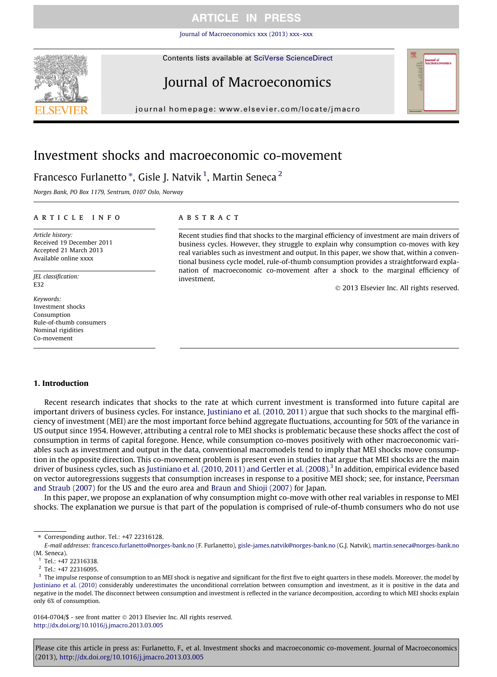## **ARTICLE IN PRESS**

[Journal of Macroeconomics xxx \(2013\) xxx–xxx](http://dx.doi.org/10.1016/j.jmacro.2013.03.005)



Contents lists available at [SciVerse ScienceDirect](http://www.sciencedirect.com/science/journal/01640704)

# Journal of Macroeconomics

journal homepage: [www.elsevier.com/locate/jmacro](http://www.elsevier.com/locate/jmacro)

## Investment shocks and macroeconomic co-movement

Francesco Furlanetto  $^*$ , Gisle J. Natvik  $^1$ , Martin Seneca  $^2$ 

Norges Bank, PO Box 1179, Sentrum, 0107 Oslo, Norway

#### article info

Article history: Received 19 December 2011 Accepted 21 March 2013 Available online xxxx

JEL classification: E32

Keywords: Investment shocks Consumption Rule-of-thumb consumers Nominal rigidities Co-movement

#### **ABSTRACT**

Recent studies find that shocks to the marginal efficiency of investment are main drivers of business cycles. However, they struggle to explain why consumption co-moves with key real variables such as investment and output. In this paper, we show that, within a conventional business cycle model, rule-of-thumb consumption provides a straightforward explanation of macroeconomic co-movement after a shock to the marginal efficiency of investment.

- 2013 Elsevier Inc. All rights reserved.

#### 1. Introduction

Recent research indicates that shocks to the rate at which current investment is transformed into future capital are important drivers of business cycles. For instance, [Justiniano et al. \(2010, 2011\)](#page--1-0) argue that such shocks to the marginal efficiency of investment (MEI) are the most important force behind aggregate fluctuations, accounting for 50% of the variance in US output since 1954. However, attributing a central role to MEI shocks is problematic because these shocks affect the cost of consumption in terms of capital foregone. Hence, while consumption co-moves positively with other macroeconomic variables such as investment and output in the data, conventional macromodels tend to imply that MEI shocks move consumption in the opposite direction. This co-movement problem is present even in studies that argue that MEI shocks are the main driver of business cycles, such as [Justiniano et al. \(2010, 2011\) and Gertler et al. \(2008\).](#page--1-0)<sup>3</sup> In addition, empirical evidence based on vector autoregressions suggests that consumption increases in response to a positive MEI shock; see, for instance, [Peersman](#page--1-0) [and Straub \(2007\)](#page--1-0) for the US and the euro area and [Braun and Shioji \(2007\)](#page--1-0) for Japan.

In this paper, we propose an explanation of why consumption might co-move with other real variables in response to MEI shocks. The explanation we pursue is that part of the population is comprised of rule-of-thumb consumers who do not use

0164-0704/\$ - see front matter © 2013 Elsevier Inc. All rights reserved. <http://dx.doi.org/10.1016/j.jmacro.2013.03.005>

Please cite this article in press as: Furlanetto, F., et al. Investment shocks and macroeconomic co-movement. Journal of Macroeconomics (2013), <http://dx.doi.org/10.1016/j.jmacro.2013.03.005>

<sup>⇑</sup> Corresponding author. Tel.: +47 22316128.

E-mail addresses: [francesco.furlanetto@norges-bank.no](mailto:francesco.furlanetto@norges-bank.no) (F. Furlanetto), [gisle-james.natvik@norges-bank.no](mailto:gisle-james.natvik@norges-bank.no) (G.J. Natvik), [martin.seneca@norges-bank.no](mailto:martin.seneca@norges-bank.no) (M. Seneca).

<sup>1</sup> Tel.: +47 22316338.

<sup>2</sup> Tel.: +47 22316095.

<sup>&</sup>lt;sup>3</sup> The impulse response of consumption to an MEI shock is negative and significant for the first five to eight quarters in these models. Moreover, the model by [Justiniano et al. \(2010\)](#page--1-0) considerably underestimates the unconditional correlation between consumption and investment, as it is positive in the data and negative in the model. The disconnect between consumption and investment is reflected in the variance decomposition, according to which MEI shocks explain only 6% of consumption.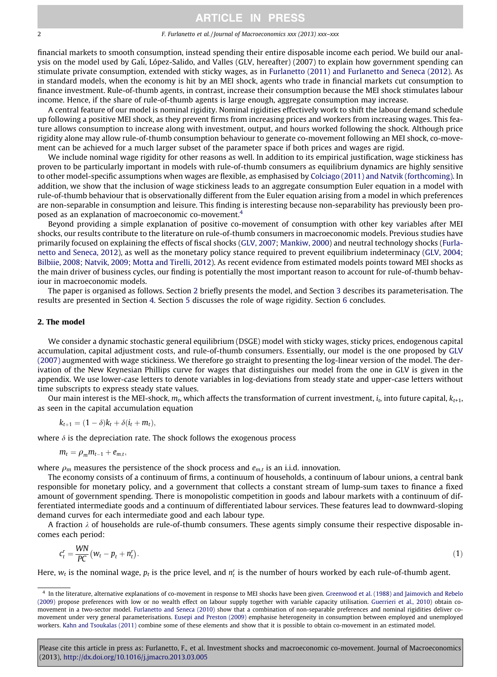### **ARTICLE IN PRESS**

#### 2 F. Furlanetto et al. / Journal of Macroeconomics xxx (2013) xxx–xxx

financial markets to smooth consumption, instead spending their entire disposable income each period. We build our analysis on the model used by Gali, López-Salido, and Valles (GLV, hereafter) (2007) to explain how government spending can stimulate private consumption, extended with sticky wages, as in [Furlanetto \(2011\) and Furlanetto and Seneca \(2012\).](#page--1-0) As in standard models, when the economy is hit by an MEI shock, agents who trade in financial markets cut consumption to finance investment. Rule-of-thumb agents, in contrast, increase their consumption because the MEI shock stimulates labour income. Hence, if the share of rule-of-thumb agents is large enough, aggregate consumption may increase.

A central feature of our model is nominal rigidity. Nominal rigidities effectively work to shift the labour demand schedule up following a positive MEI shock, as they prevent firms from increasing prices and workers from increasing wages. This feature allows consumption to increase along with investment, output, and hours worked following the shock. Although price rigidity alone may allow rule-of-thumb consumption behaviour to generate co-movement following an MEI shock, co-movement can be achieved for a much larger subset of the parameter space if both prices and wages are rigid.

We include nominal wage rigidity for other reasons as well. In addition to its empirical justification, wage stickiness has proven to be particularly important in models with rule-of-thumb consumers as equilibrium dynamics are highly sensitive to other model-specific assumptions when wages are flexible, as emphasised by [Colciago \(2011\) and Natvik \(forthcoming\)](#page--1-0). In addition, we show that the inclusion of wage stickiness leads to an aggregate consumption Euler equation in a model with rule-of-thumb behaviour that is observationally different from the Euler equation arising from a model in which preferences are non-separable in consumption and leisure. This finding is interesting because non-separability has previously been proposed as an explanation of macroeconomic co-movement.4

Beyond providing a simple explanation of positive co-movement of consumption with other key variables after MEI shocks, our results contribute to the literature on rule-of-thumb consumers in macroeconomic models. Previous studies have primarily focused on explaining the effects of fiscal shocks [\(GLV, 2007](#page--1-0); [Mankiw, 2000\)](#page--1-0) and neutral technology shocks ([Furla](#page--1-0)[netto and Seneca, 2012](#page--1-0)), as well as the monetary policy stance required to prevent equilibrium indeterminacy ([GLV, 2004;](#page--1-0) [Bilbiie, 2008; Natvik, 2009; Motta and Tirelli, 2012](#page--1-0)). As recent evidence from estimated models points toward MEI shocks as the main driver of business cycles, our finding is potentially the most important reason to account for rule-of-thumb behaviour in macroeconomic models.

The paper is organised as follows. Section 2 briefly presents the model, and Section 3 describes its parameterisation. The results are presented in Section 4. Section 5 discusses the role of wage rigidity. Section 6 concludes.

#### 2. The model

We consider a dynamic stochastic general equilibrium (DSGE) model with sticky wages, sticky prices, endogenous capital accumulation, capital adjustment costs, and rule-of-thumb consumers. Essentially, our model is the one proposed by [GLV](#page--1-0) [\(2007\)](#page--1-0) augmented with wage stickiness. We therefore go straight to presenting the log-linear version of the model. The derivation of the New Keynesian Phillips curve for wages that distinguishes our model from the one in GLV is given in the appendix. We use lower-case letters to denote variables in log-deviations from steady state and upper-case letters without time subscripts to express steady state values.

Our main interest is the MEI-shock,  $m_t$ , which affects the transformation of current investment,  $i_t$ , into future capital,  $k_{t+1}$ , as seen in the capital accumulation equation

$$
k_{t+1} = (1-\delta)k_t + \delta(i_t + m_t),
$$

where  $\delta$  is the depreciation rate. The shock follows the exogenous process

$$
m_t = \rho_m m_{t-1} + e_{m,t},
$$

where  $\rho_m$  measures the persistence of the shock process and  $e_{m,t}$  is an i.i.d. innovation.

The economy consists of a continuum of firms, a continuum of households, a continuum of labour unions, a central bank responsible for monetary policy, and a government that collects a constant stream of lump-sum taxes to finance a fixed amount of government spending. There is monopolistic competition in goods and labour markets with a continuum of differentiated intermediate goods and a continuum of differentiated labour services. These features lead to downward-sloping demand curves for each intermediate good and each labour type.

A fraction  $\lambda$  of households are rule-of-thumb consumers. These agents simply consume their respective disposable incomes each period:

$$
c_t^r = \frac{WN}{PC} (w_t - p_t + n_t^r). \tag{1}
$$

Here,  $w_t$  is the nominal wage,  $p_t$  is the price level, and  $n_t^r$  is the number of hours worked by each rule-of-thumb agent.

Please cite this article in press as: Furlanetto, F., et al. Investment shocks and macroeconomic co-movement. Journal of Macroeconomics (2013), <http://dx.doi.org/10.1016/j.jmacro.2013.03.005>

<sup>4</sup> In the literature, alternative explanations of co-movement in response to MEI shocks have been given. [Greenwood et al. \(1988\) and Jaimovich and Rebelo](#page--1-0) [\(2009\)](#page--1-0) propose preferences with low or no wealth effect on labour supply together with variable capacity utilisation. [Guerrieri et al., 2010](#page--1-0)) obtain comovement in a two-sector model. [Furlanetto and Seneca \(2010\)](#page--1-0) show that a combination of non-separable preferences and nominal rigidities deliver comovement under very general parameterisations. [Eusepi and Preston \(2009\)](#page--1-0) emphasise heterogeneity in consumption between employed and unemployed workers. [Kahn and Tsoukalas \(2011\)](#page--1-0) combine some of these elements and show that it is possible to obtain co-movement in an estimated model.